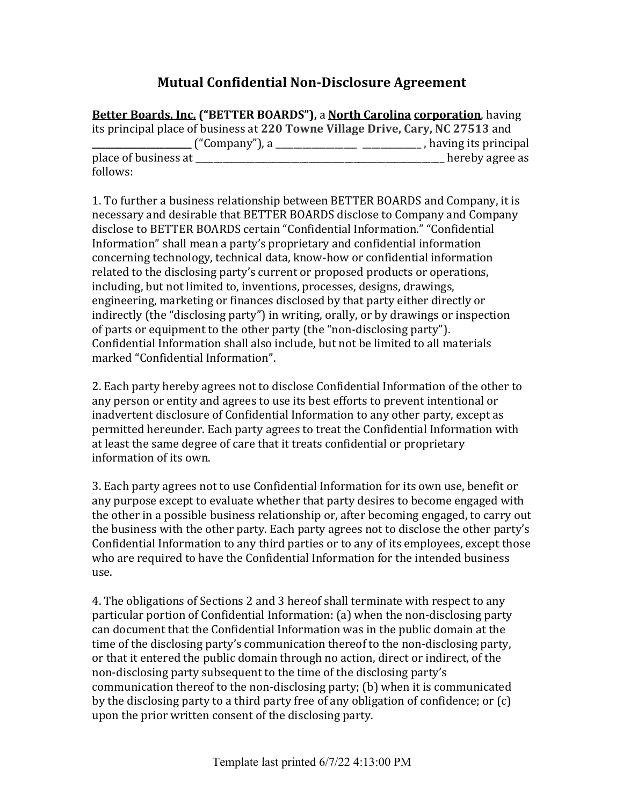## **Mutual Confidential Non-Disclosure Agreement**

**Better Boards, Inc.** ("BETTER BOARDS"), a **North Carolina corporation**, having its principal place of business at 220 Towne Village Drive, Cary, NC 27513 and **\_** ("Company"), a \_\_\_\_\_\_\_\_\_\_\_\_\_\_\_\_\_\_\_\_\_\_\_\_\_\_\_\_\_\_\_\_, having its principal place of business at  $\Box$ follows:

1. To further a business relationship between BETTER BOARDS and Company, it is necessary and desirable that BETTER BOARDS disclose to Company and Company disclose to BETTER BOARDS certain "Confidential Information." "Confidential Information" shall mean a party's proprietary and confidential information concerning technology, technical data, know-how or confidential information related to the disclosing party's current or proposed products or operations, including, but not limited to, inventions, processes, designs, drawings, engineering, marketing or finances disclosed by that party either directly or indirectly (the "disclosing party") in writing, orally, or by drawings or inspection of parts or equipment to the other party (the "non-disclosing party"). Confidential Information shall also include, but not be limited to all materials marked "Confidential Information".

2. Each party hereby agrees not to disclose Confidential Information of the other to any person or entity and agrees to use its best efforts to prevent intentional or inadvertent disclosure of Confidential Information to any other party, except as permitted hereunder. Each party agrees to treat the Confidential Information with at least the same degree of care that it treats confidential or proprietary information of its own.

3. Each party agrees not to use Confidential Information for its own use, benefit or any purpose except to evaluate whether that party desires to become engaged with the other in a possible business relationship or, after becoming engaged, to carry out the business with the other party. Each party agrees not to disclose the other party's Confidential Information to any third parties or to any of its employees, except those who are required to have the Confidential Information for the intended business use.

4. The obligations of Sections 2 and 3 hereof shall terminate with respect to any particular portion of Confidential Information: (a) when the non-disclosing party can document that the Confidential Information was in the public domain at the time of the disclosing party's communication thereof to the non-disclosing party, or that it entered the public domain through no action, direct or indirect, of the non-disclosing party subsequent to the time of the disclosing party's communication thereof to the non-disclosing party; (b) when it is communicated by the disclosing party to a third party free of any obligation of confidence; or  $(c)$ upon the prior written consent of the disclosing party.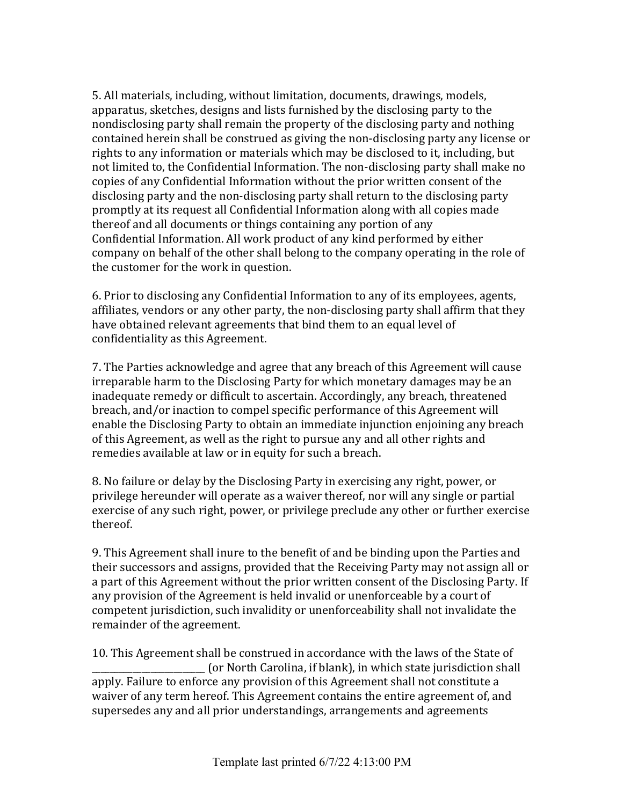5. All materials, including, without limitation, documents, drawings, models, apparatus, sketches, designs and lists furnished by the disclosing party to the nondisclosing party shall remain the property of the disclosing party and nothing contained herein shall be construed as giving the non-disclosing party any license or rights to any information or materials which may be disclosed to it, including, but not limited to, the Confidential Information. The non-disclosing party shall make no copies of any Confidential Information without the prior written consent of the disclosing party and the non-disclosing party shall return to the disclosing party promptly at its request all Confidential Information along with all copies made thereof and all documents or things containing any portion of any Confidential Information. All work product of any kind performed by either company on behalf of the other shall belong to the company operating in the role of the customer for the work in question.

6. Prior to disclosing any Confidential Information to any of its employees, agents, affiliates, vendors or any other party, the non-disclosing party shall affirm that they have obtained relevant agreements that bind them to an equal level of confidentiality as this Agreement.

7. The Parties acknowledge and agree that any breach of this Agreement will cause irreparable harm to the Disclosing Party for which monetary damages may be an inadequate remedy or difficult to ascertain. Accordingly, any breach, threatened breach, and/or inaction to compel specific performance of this Agreement will enable the Disclosing Party to obtain an immediate injunction enjoining any breach of this Agreement, as well as the right to pursue any and all other rights and remedies available at law or in equity for such a breach.

8. No failure or delay by the Disclosing Party in exercising any right, power, or privilege hereunder will operate as a waiver thereof, nor will any single or partial exercise of any such right, power, or privilege preclude any other or further exercise thereof.

9. This Agreement shall inure to the benefit of and be binding upon the Parties and their successors and assigns, provided that the Receiving Party may not assign all or a part of this Agreement without the prior written consent of the Disclosing Party. If any provision of the Agreement is held invalid or unenforceable by a court of competent jurisdiction, such invalidity or unenforceability shall not invalidate the remainder of the agreement.

10. This Agreement shall be construed in accordance with the laws of the State of \_\_\_\_\_\_\_\_\_\_\_\_\_\_\_\_\_\_\_\_\_\_\_\_\_ (or North Carolina, if blank), in which state jurisdiction shall apply. Failure to enforce any provision of this Agreement shall not constitute a waiver of any term hereof. This Agreement contains the entire agreement of, and supersedes any and all prior understandings, arrangements and agreements